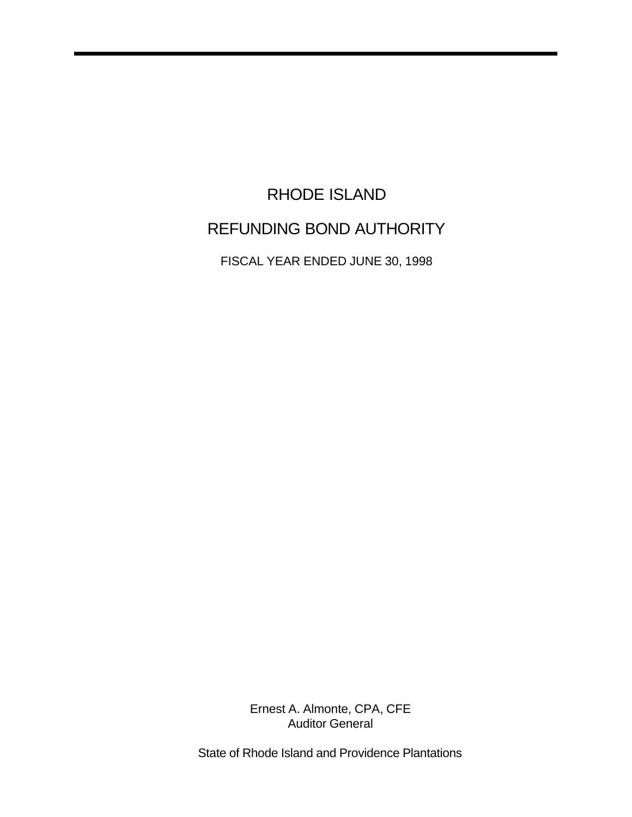# RHODE ISLAND REFUNDING BOND AUTHORITY

FISCAL YEAR ENDED JUNE 30, 1998

Ernest A. Almonte, CPA, CFE Auditor General

State of Rhode Island and Providence Plantations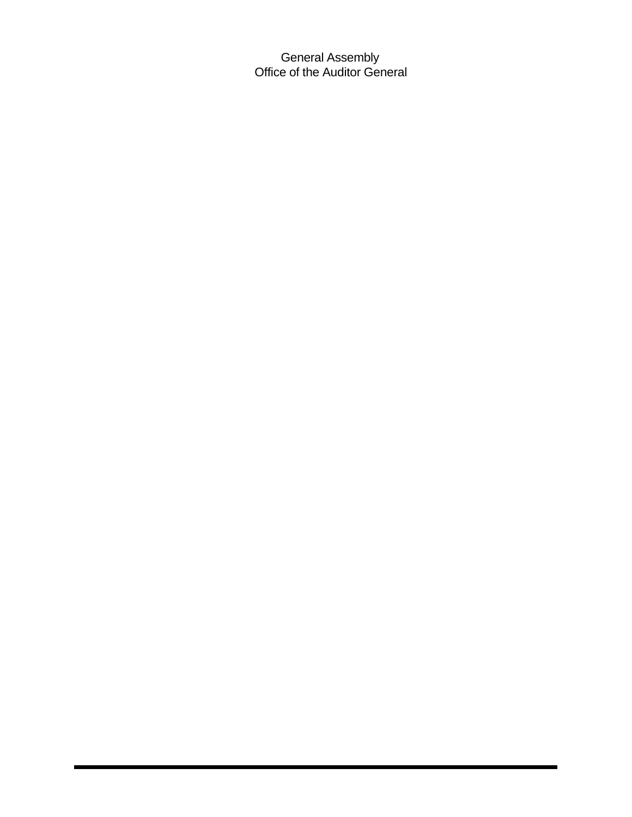General Assembly Office of the Auditor General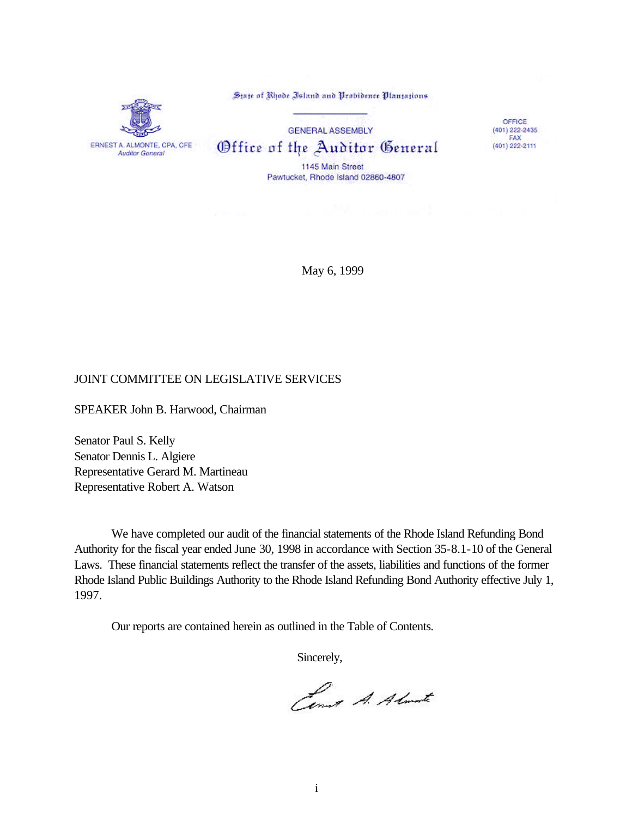State of Rhode Island and Probidence Plantations



**GENERAL ASSEMBLY** Office of the Auditor General 1145 Main Street

OFFICE  $(401)$  222-2435 FAX (401) 222-2111

Pawtucket, Rhode Island 02860-4807

May 6, 1999

## JOINT COMMITTEE ON LEGISLATIVE SERVICES

SPEAKER John B. Harwood, Chairman

Senator Paul S. Kelly Senator Dennis L. Algiere Representative Gerard M. Martineau Representative Robert A. Watson

We have completed our audit of the financial statements of the Rhode Island Refunding Bond Authority for the fiscal year ended June 30, 1998 in accordance with Section 35-8.1-10 of the General Laws. These financial statements reflect the transfer of the assets, liabilities and functions of the former Rhode Island Public Buildings Authority to the Rhode Island Refunding Bond Authority effective July 1, 1997.

Our reports are contained herein as outlined in the Table of Contents.

Sincerely,

Cent A. Almarte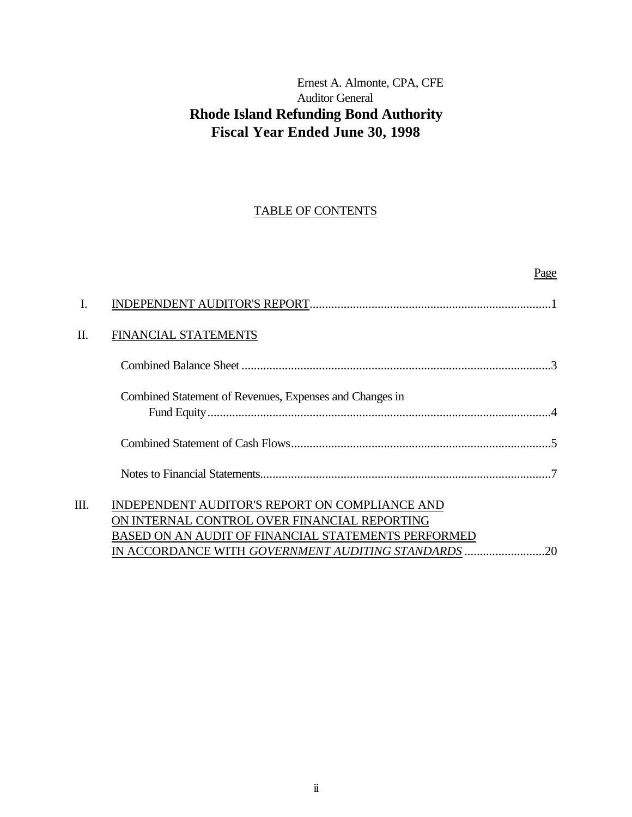# Ernest A. Almonte, CPA, CFE Auditor General **Rhode Island Refunding Bond Authority Fiscal Year Ended June 30, 1998**

# TABLE OF CONTENTS

|    |                                                                                                                                                                                                                   | Page |
|----|-------------------------------------------------------------------------------------------------------------------------------------------------------------------------------------------------------------------|------|
|    |                                                                                                                                                                                                                   |      |
| Π. | <b>FINANCIAL STATEMENTS</b>                                                                                                                                                                                       |      |
|    |                                                                                                                                                                                                                   |      |
|    | Combined Statement of Revenues, Expenses and Changes in                                                                                                                                                           |      |
|    |                                                                                                                                                                                                                   |      |
|    |                                                                                                                                                                                                                   |      |
| Ш. | INDEPENDENT AUDITOR'S REPORT ON COMPLIANCE AND<br>ON INTERNAL CONTROL OVER FINANCIAL REPORTING<br>BASED ON AN AUDIT OF FINANCIAL STATEMENTS PERFORMED<br>IN ACCORDANCE WITH <i>GOVERNMENT AUDITING STANDARDS </i> | 20   |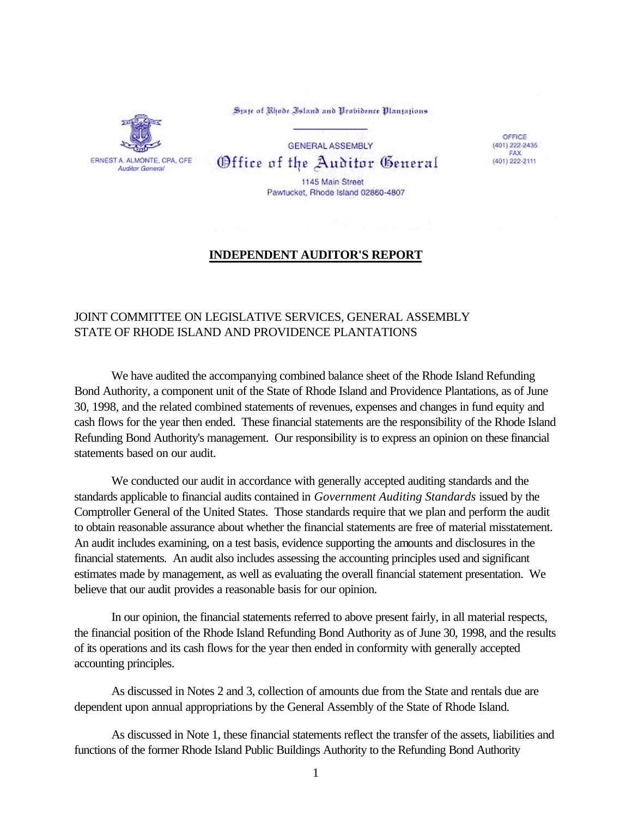

State of Rhode Island and Probidence Plantations

**GENERAL ASSEMBLY** Office of the Auditor General 1145 Main Street

Pawtucket, Rhode Island 02860-4807

OFFICE  $(401)$  222-2435<br>FAX (401) 222-2111

## **INDEPENDENT AUDITOR'S REPORT**

# JOINT COMMITTEE ON LEGISLATIVE SERVICES, GENERAL ASSEMBLY STATE OF RHODE ISLAND AND PROVIDENCE PLANTATIONS

We have audited the accompanying combined balance sheet of the Rhode Island Refunding Bond Authority, a component unit of the State of Rhode Island and Providence Plantations, as of June 30, 1998, and the related combined statements of revenues, expenses and changes in fund equity and cash flows for the year then ended. These financial statements are the responsibility of the Rhode Island Refunding Bond Authority's management. Our responsibility is to express an opinion on these financial statements based on our audit.

We conducted our audit in accordance with generally accepted auditing standards and the standards applicable to financial audits contained in *Government Auditing Standards* issued by the Comptroller General of the United States. Those standards require that we plan and perform the audit to obtain reasonable assurance about whether the financial statements are free of material misstatement. An audit includes examining, on a test basis, evidence supporting the amounts and disclosures in the financial statements. An audit also includes assessing the accounting principles used and significant estimates made by management, as well as evaluating the overall financial statement presentation. We believe that our audit provides a reasonable basis for our opinion.

In our opinion, the financial statements referred to above present fairly, in all material respects, the financial position of the Rhode Island Refunding Bond Authority as of June 30, 1998, and the results of its operations and its cash flows for the year then ended in conformity with generally accepted accounting principles.

As discussed in Notes 2 and 3, collection of amounts due from the State and rentals due are dependent upon annual appropriations by the General Assembly of the State of Rhode Island.

As discussed in Note 1, these financial statements reflect the transfer of the assets, liabilities and functions of the former Rhode Island Public Buildings Authority to the Refunding Bond Authority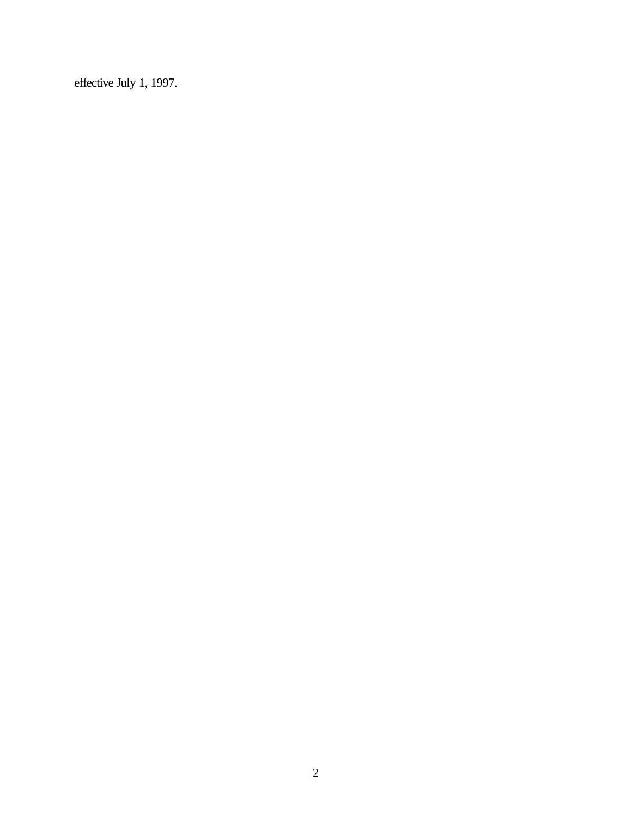effective July 1, 1997.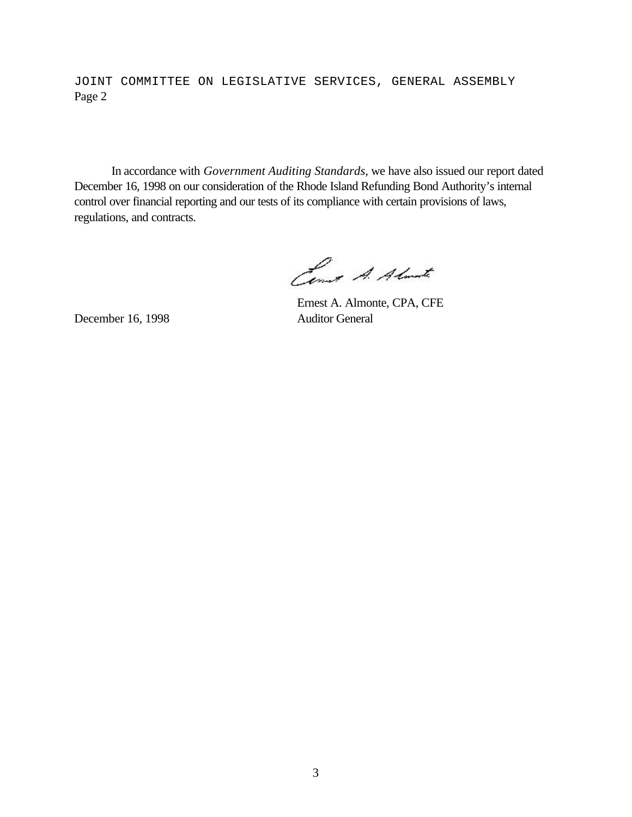JOINT COMMITTEE ON LEGISLATIVE SERVICES, GENERAL ASSEMBLY Page 2

In accordance with *Government Auditing Standards*, we have also issued our report dated December 16, 1998 on our consideration of the Rhode Island Refunding Bond Authority's internal control over financial reporting and our tests of its compliance with certain provisions of laws, regulations, and contracts.

Come A. Almarte

December 16, 1998 Auditor General

Ernest A. Almonte, CPA, CFE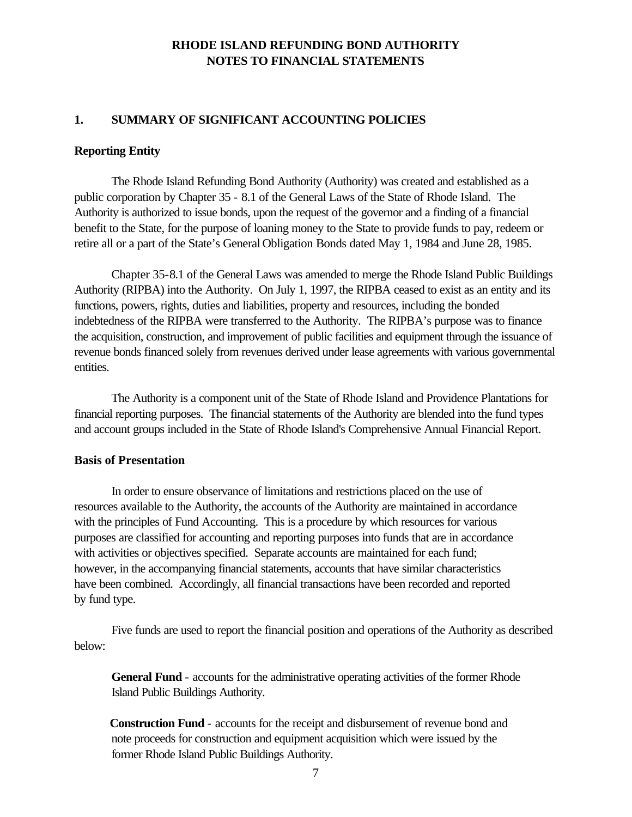## **1. SUMMARY OF SIGNIFICANT ACCOUNTING POLICIES**

#### **Reporting Entity**

The Rhode Island Refunding Bond Authority (Authority) was created and established as a public corporation by Chapter 35 - 8.1 of the General Laws of the State of Rhode Island. The Authority is authorized to issue bonds, upon the request of the governor and a finding of a financial benefit to the State, for the purpose of loaning money to the State to provide funds to pay, redeem or retire all or a part of the State's General Obligation Bonds dated May 1, 1984 and June 28, 1985.

Chapter 35-8.1 of the General Laws was amended to merge the Rhode Island Public Buildings Authority (RIPBA) into the Authority. On July 1, 1997, the RIPBA ceased to exist as an entity and its functions, powers, rights, duties and liabilities, property and resources, including the bonded indebtedness of the RIPBA were transferred to the Authority. The RIPBA's purpose was to finance the acquisition, construction, and improvement of public facilities and equipment through the issuance of revenue bonds financed solely from revenues derived under lease agreements with various governmental entities.

The Authority is a component unit of the State of Rhode Island and Providence Plantations for financial reporting purposes. The financial statements of the Authority are blended into the fund types and account groups included in the State of Rhode Island's Comprehensive Annual Financial Report.

#### **Basis of Presentation**

In order to ensure observance of limitations and restrictions placed on the use of resources available to the Authority, the accounts of the Authority are maintained in accordance with the principles of Fund Accounting. This is a procedure by which resources for various purposes are classified for accounting and reporting purposes into funds that are in accordance with activities or objectives specified. Separate accounts are maintained for each fund; however, in the accompanying financial statements, accounts that have similar characteristics have been combined. Accordingly, all financial transactions have been recorded and reported by fund type.

Five funds are used to report the financial position and operations of the Authority as described below:

**General Fund** - accounts for the administrative operating activities of the former Rhode Island Public Buildings Authority.

 **Construction Fund** - accounts for the receipt and disbursement of revenue bond and note proceeds for construction and equipment acquisition which were issued by the former Rhode Island Public Buildings Authority.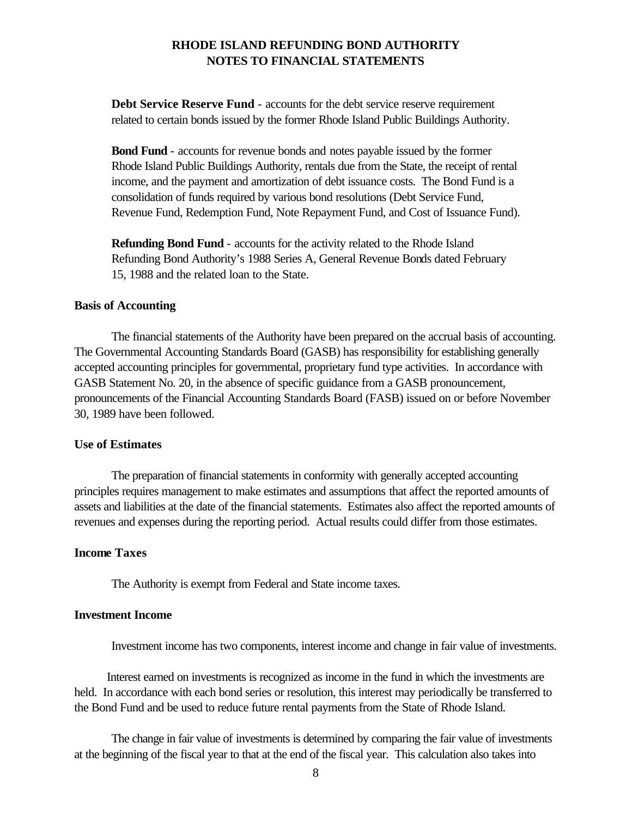**Debt Service Reserve Fund** - accounts for the debt service reserve requirement related to certain bonds issued by the former Rhode Island Public Buildings Authority.

**Bond Fund** - accounts for revenue bonds and notes payable issued by the former Rhode Island Public Buildings Authority, rentals due from the State, the receipt of rental income, and the payment and amortization of debt issuance costs. The Bond Fund is a consolidation of funds required by various bond resolutions (Debt Service Fund, Revenue Fund, Redemption Fund, Note Repayment Fund, and Cost of Issuance Fund).

**Refunding Bond Fund** - accounts for the activity related to the Rhode Island Refunding Bond Authority's 1988 Series A, General Revenue Bonds dated February 15, 1988 and the related loan to the State.

#### **Basis of Accounting**

The financial statements of the Authority have been prepared on the accrual basis of accounting. The Governmental Accounting Standards Board (GASB) has responsibility for establishing generally accepted accounting principles for governmental, proprietary fund type activities. In accordance with GASB Statement No. 20, in the absence of specific guidance from a GASB pronouncement, pronouncements of the Financial Accounting Standards Board (FASB) issued on or before November 30, 1989 have been followed.

#### **Use of Estimates**

The preparation of financial statements in conformity with generally accepted accounting principles requires management to make estimates and assumptions that affect the reported amounts of assets and liabilities at the date of the financial statements. Estimates also affect the reported amounts of revenues and expenses during the reporting period. Actual results could differ from those estimates.

#### **Income Taxes**

The Authority is exempt from Federal and State income taxes.

### **Investment Income**

Investment income has two components, interest income and change in fair value of investments.

Interest earned on investments is recognized as income in the fund in which the investments are held. In accordance with each bond series or resolution, this interest may periodically be transferred to the Bond Fund and be used to reduce future rental payments from the State of Rhode Island.

The change in fair value of investments is determined by comparing the fair value of investments at the beginning of the fiscal year to that at the end of the fiscal year. This calculation also takes into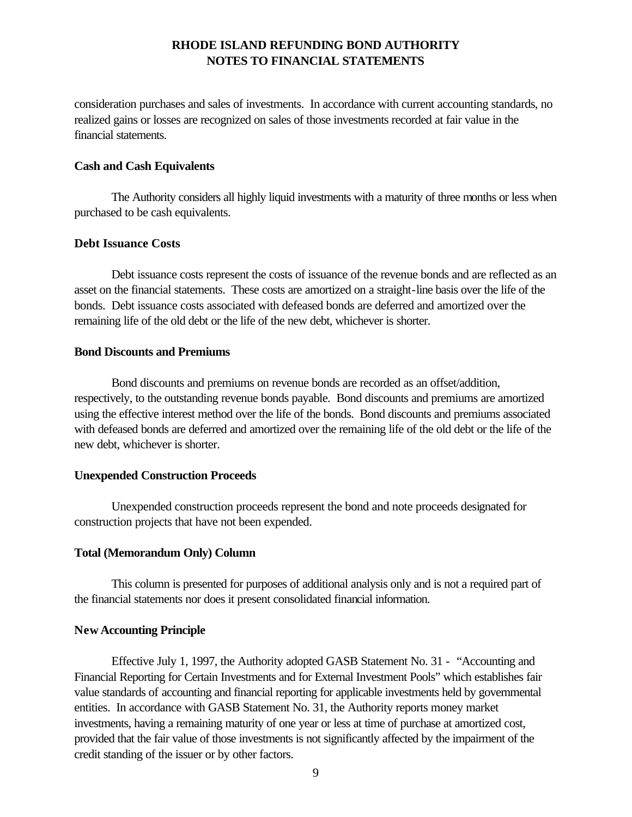consideration purchases and sales of investments. In accordance with current accounting standards, no realized gains or losses are recognized on sales of those investments recorded at fair value in the financial statements.

### **Cash and Cash Equivalents**

The Authority considers all highly liquid investments with a maturity of three months or less when purchased to be cash equivalents.

## **Debt Issuance Costs**

Debt issuance costs represent the costs of issuance of the revenue bonds and are reflected as an asset on the financial statements. These costs are amortized on a straight-line basis over the life of the bonds. Debt issuance costs associated with defeased bonds are deferred and amortized over the remaining life of the old debt or the life of the new debt, whichever is shorter.

## **Bond Discounts and Premiums**

Bond discounts and premiums on revenue bonds are recorded as an offset/addition, respectively, to the outstanding revenue bonds payable. Bond discounts and premiums are amortized using the effective interest method over the life of the bonds. Bond discounts and premiums associated with defeased bonds are deferred and amortized over the remaining life of the old debt or the life of the new debt, whichever is shorter.

## **Unexpended Construction Proceeds**

Unexpended construction proceeds represent the bond and note proceeds designated for construction projects that have not been expended.

## **Total (Memorandum Only) Column**

This column is presented for purposes of additional analysis only and is not a required part of the financial statements nor does it present consolidated financial information.

## **New Accounting Principle**

Effective July 1, 1997, the Authority adopted GASB Statement No. 31 - "Accounting and Financial Reporting for Certain Investments and for External Investment Pools" which establishes fair value standards of accounting and financial reporting for applicable investments held by governmental entities. In accordance with GASB Statement No. 31, the Authority reports money market investments, having a remaining maturity of one year or less at time of purchase at amortized cost, provided that the fair value of those investments is not significantly affected by the impairment of the credit standing of the issuer or by other factors.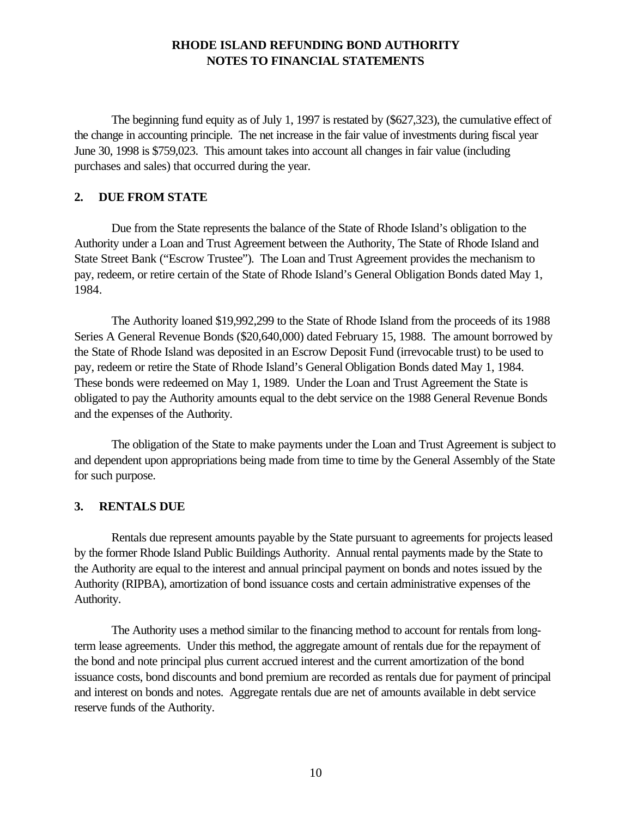The beginning fund equity as of July 1, 1997 is restated by (\$627,323), the cumulative effect of the change in accounting principle. The net increase in the fair value of investments during fiscal year June 30, 1998 is \$759,023. This amount takes into account all changes in fair value (including purchases and sales) that occurred during the year.

## **2. DUE FROM STATE**

Due from the State represents the balance of the State of Rhode Island's obligation to the Authority under a Loan and Trust Agreement between the Authority, The State of Rhode Island and State Street Bank ("Escrow Trustee"). The Loan and Trust Agreement provides the mechanism to pay, redeem, or retire certain of the State of Rhode Island's General Obligation Bonds dated May 1, 1984.

The Authority loaned \$19,992,299 to the State of Rhode Island from the proceeds of its 1988 Series A General Revenue Bonds (\$20,640,000) dated February 15, 1988. The amount borrowed by the State of Rhode Island was deposited in an Escrow Deposit Fund (irrevocable trust) to be used to pay, redeem or retire the State of Rhode Island's General Obligation Bonds dated May 1, 1984. These bonds were redeemed on May 1, 1989. Under the Loan and Trust Agreement the State is obligated to pay the Authority amounts equal to the debt service on the 1988 General Revenue Bonds and the expenses of the Authority.

The obligation of the State to make payments under the Loan and Trust Agreement is subject to and dependent upon appropriations being made from time to time by the General Assembly of the State for such purpose.

#### **3. RENTALS DUE**

Rentals due represent amounts payable by the State pursuant to agreements for projects leased by the former Rhode Island Public Buildings Authority. Annual rental payments made by the State to the Authority are equal to the interest and annual principal payment on bonds and notes issued by the Authority (RIPBA), amortization of bond issuance costs and certain administrative expenses of the Authority.

The Authority uses a method similar to the financing method to account for rentals from longterm lease agreements. Under this method, the aggregate amount of rentals due for the repayment of the bond and note principal plus current accrued interest and the current amortization of the bond issuance costs, bond discounts and bond premium are recorded as rentals due for payment of principal and interest on bonds and notes. Aggregate rentals due are net of amounts available in debt service reserve funds of the Authority.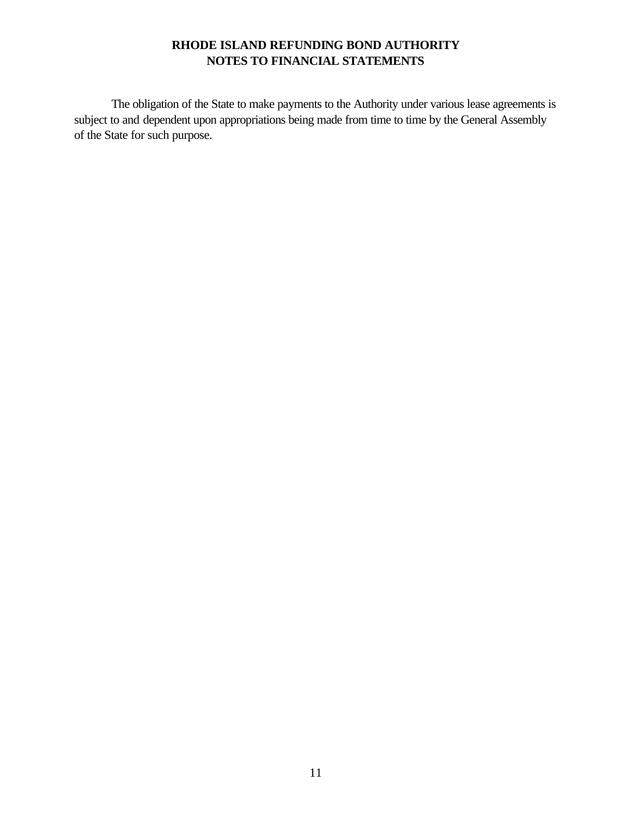The obligation of the State to make payments to the Authority under various lease agreements is subject to and dependent upon appropriations being made from time to time by the General Assembly of the State for such purpose.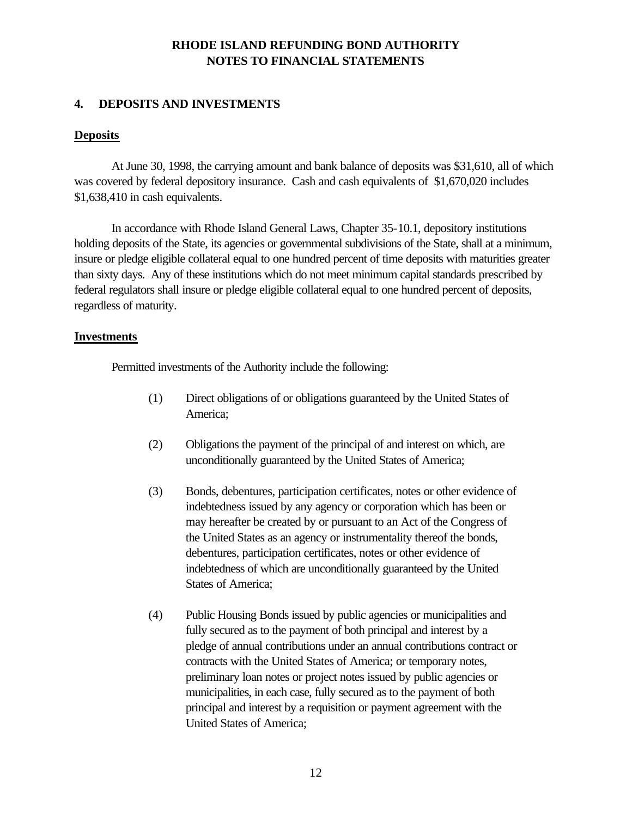# **4. DEPOSITS AND INVESTMENTS**

## **Deposits**

At June 30, 1998, the carrying amount and bank balance of deposits was \$31,610, all of which was covered by federal depository insurance. Cash and cash equivalents of \$1,670,020 includes \$1,638,410 in cash equivalents.

In accordance with Rhode Island General Laws, Chapter 35-10.1, depository institutions holding deposits of the State, its agencies or governmental subdivisions of the State, shall at a minimum, insure or pledge eligible collateral equal to one hundred percent of time deposits with maturities greater than sixty days. Any of these institutions which do not meet minimum capital standards prescribed by federal regulators shall insure or pledge eligible collateral equal to one hundred percent of deposits, regardless of maturity.

## **Investments**

Permitted investments of the Authority include the following:

- (1) Direct obligations of or obligations guaranteed by the United States of America;
- (2) Obligations the payment of the principal of and interest on which, are unconditionally guaranteed by the United States of America;
- (3) Bonds, debentures, participation certificates, notes or other evidence of indebtedness issued by any agency or corporation which has been or may hereafter be created by or pursuant to an Act of the Congress of the United States as an agency or instrumentality thereof the bonds, debentures, participation certificates, notes or other evidence of indebtedness of which are unconditionally guaranteed by the United States of America;
- (4) Public Housing Bonds issued by public agencies or municipalities and fully secured as to the payment of both principal and interest by a pledge of annual contributions under an annual contributions contract or contracts with the United States of America; or temporary notes, preliminary loan notes or project notes issued by public agencies or municipalities, in each case, fully secured as to the payment of both principal and interest by a requisition or payment agreement with the United States of America;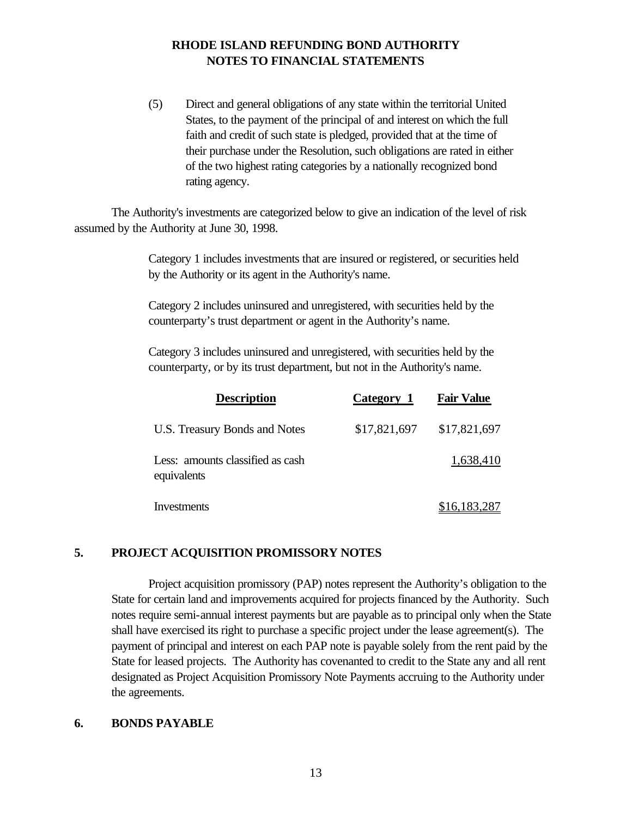(5) Direct and general obligations of any state within the territorial United States, to the payment of the principal of and interest on which the full faith and credit of such state is pledged, provided that at the time of their purchase under the Resolution, such obligations are rated in either of the two highest rating categories by a nationally recognized bond rating agency.

The Authority's investments are categorized below to give an indication of the level of risk assumed by the Authority at June 30, 1998.

> Category 1 includes investments that are insured or registered, or securities held by the Authority or its agent in the Authority's name.

Category 2 includes uninsured and unregistered, with securities held by the counterparty's trust department or agent in the Authority's name.

Category 3 includes uninsured and unregistered, with securities held by the counterparty, or by its trust department, but not in the Authority's name.

| <b>Description</b>                              | Category 1   | <b>Fair Value</b> |
|-------------------------------------------------|--------------|-------------------|
| U.S. Treasury Bonds and Notes                   | \$17,821,697 | \$17,821,697      |
| Less: amounts classified as cash<br>equivalents |              | 1,638,410         |
| Investments                                     |              | \$16,183,287      |

# **5. PROJECT ACQUISITION PROMISSORY NOTES**

Project acquisition promissory (PAP) notes represent the Authority's obligation to the State for certain land and improvements acquired for projects financed by the Authority. Such notes require semi-annual interest payments but are payable as to principal only when the State shall have exercised its right to purchase a specific project under the lease agreement(s). The payment of principal and interest on each PAP note is payable solely from the rent paid by the State for leased projects. The Authority has covenanted to credit to the State any and all rent designated as Project Acquisition Promissory Note Payments accruing to the Authority under the agreements.

## **6. BONDS PAYABLE**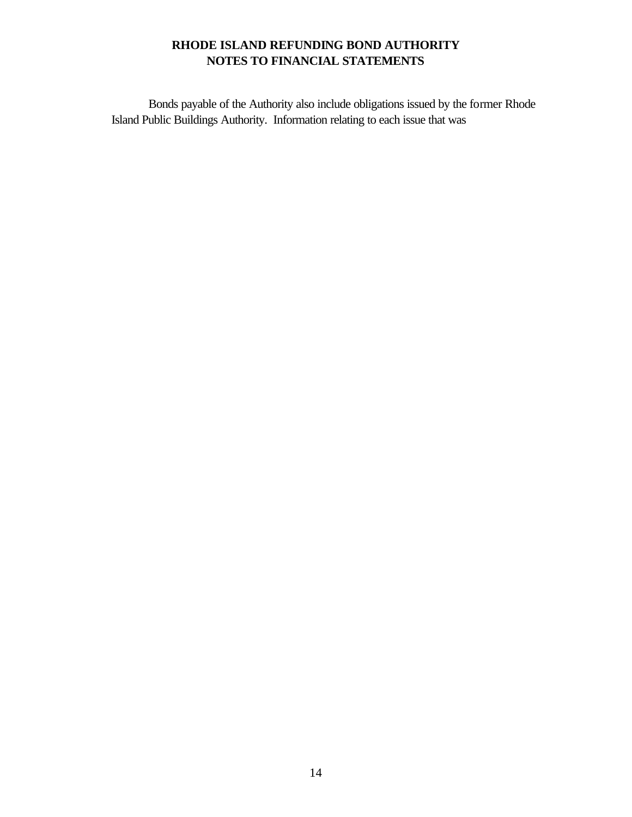Bonds payable of the Authority also include obligations issued by the former Rhode Island Public Buildings Authority. Information relating to each issue that was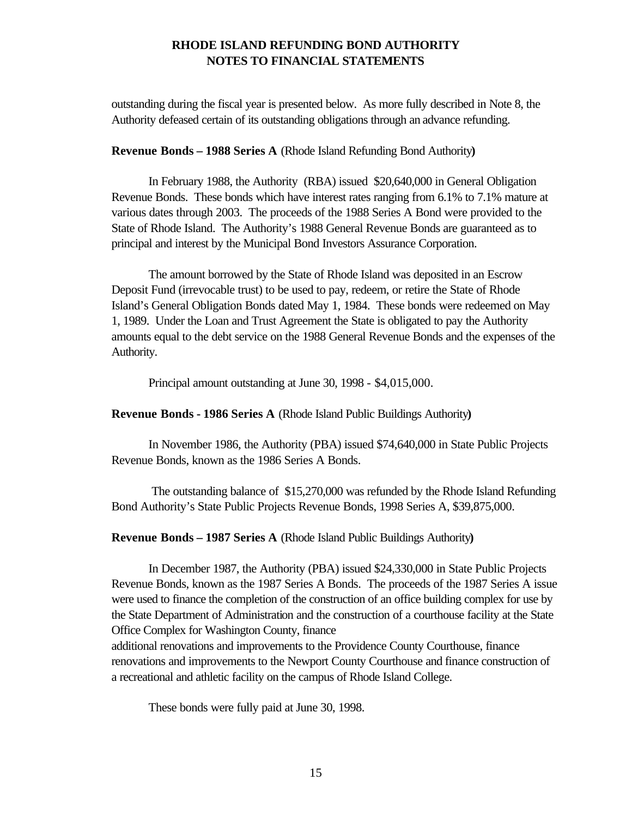outstanding during the fiscal year is presented below. As more fully described in Note 8, the Authority defeased certain of its outstanding obligations through an advance refunding.

#### **Revenue Bonds – 1988 Series A** (Rhode Island Refunding Bond Authority**)**

In February 1988, the Authority (RBA) issued \$20,640,000 in General Obligation Revenue Bonds. These bonds which have interest rates ranging from 6.1% to 7.1% mature at various dates through 2003. The proceeds of the 1988 Series A Bond were provided to the State of Rhode Island. The Authority's 1988 General Revenue Bonds are guaranteed as to principal and interest by the Municipal Bond Investors Assurance Corporation.

The amount borrowed by the State of Rhode Island was deposited in an Escrow Deposit Fund (irrevocable trust) to be used to pay, redeem, or retire the State of Rhode Island's General Obligation Bonds dated May 1, 1984. These bonds were redeemed on May 1, 1989. Under the Loan and Trust Agreement the State is obligated to pay the Authority amounts equal to the debt service on the 1988 General Revenue Bonds and the expenses of the Authority.

Principal amount outstanding at June 30, 1998 - \$4,015,000.

**Revenue Bonds - 1986 Series A** (Rhode Island Public Buildings Authority**)**

In November 1986, the Authority (PBA) issued \$74,640,000 in State Public Projects Revenue Bonds, known as the 1986 Series A Bonds.

 The outstanding balance of \$15,270,000 was refunded by the Rhode Island Refunding Bond Authority's State Public Projects Revenue Bonds, 1998 Series A, \$39,875,000.

**Revenue Bonds – 1987 Series A** (Rhode Island Public Buildings Authority**)**

In December 1987, the Authority (PBA) issued \$24,330,000 in State Public Projects Revenue Bonds, known as the 1987 Series A Bonds. The proceeds of the 1987 Series A issue were used to finance the completion of the construction of an office building complex for use by the State Department of Administration and the construction of a courthouse facility at the State Office Complex for Washington County, finance

additional renovations and improvements to the Providence County Courthouse, finance renovations and improvements to the Newport County Courthouse and finance construction of a recreational and athletic facility on the campus of Rhode Island College.

These bonds were fully paid at June 30, 1998.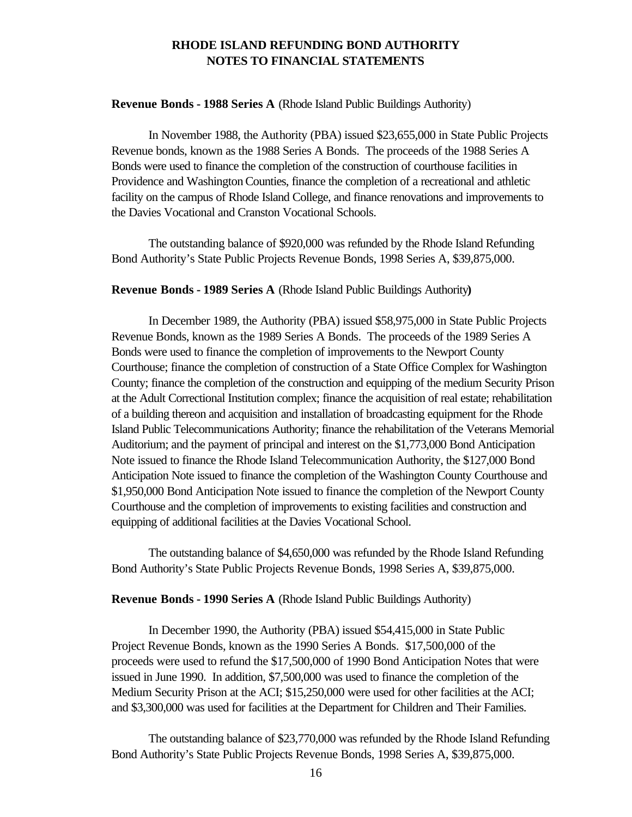#### **Revenue Bonds - 1988 Series A** (Rhode Island Public Buildings Authority)

In November 1988, the Authority (PBA) issued \$23,655,000 in State Public Projects Revenue bonds, known as the 1988 Series A Bonds. The proceeds of the 1988 Series A Bonds were used to finance the completion of the construction of courthouse facilities in Providence and Washington Counties, finance the completion of a recreational and athletic facility on the campus of Rhode Island College, and finance renovations and improvements to the Davies Vocational and Cranston Vocational Schools.

The outstanding balance of \$920,000 was refunded by the Rhode Island Refunding Bond Authority's State Public Projects Revenue Bonds, 1998 Series A, \$39,875,000.

#### **Revenue Bonds - 1989 Series A** (Rhode Island Public Buildings Authority**)**

In December 1989, the Authority (PBA) issued \$58,975,000 in State Public Projects Revenue Bonds, known as the 1989 Series A Bonds. The proceeds of the 1989 Series A Bonds were used to finance the completion of improvements to the Newport County Courthouse; finance the completion of construction of a State Office Complex for Washington County; finance the completion of the construction and equipping of the medium Security Prison at the Adult Correctional Institution complex; finance the acquisition of real estate; rehabilitation of a building thereon and acquisition and installation of broadcasting equipment for the Rhode Island Public Telecommunications Authority; finance the rehabilitation of the Veterans Memorial Auditorium; and the payment of principal and interest on the \$1,773,000 Bond Anticipation Note issued to finance the Rhode Island Telecommunication Authority, the \$127,000 Bond Anticipation Note issued to finance the completion of the Washington County Courthouse and \$1,950,000 Bond Anticipation Note issued to finance the completion of the Newport County Courthouse and the completion of improvements to existing facilities and construction and equipping of additional facilities at the Davies Vocational School.

The outstanding balance of \$4,650,000 was refunded by the Rhode Island Refunding Bond Authority's State Public Projects Revenue Bonds, 1998 Series A, \$39,875,000.

#### **Revenue Bonds - 1990 Series A** (Rhode Island Public Buildings Authority)

In December 1990, the Authority (PBA) issued \$54,415,000 in State Public Project Revenue Bonds, known as the 1990 Series A Bonds. \$17,500,000 of the proceeds were used to refund the \$17,500,000 of 1990 Bond Anticipation Notes that were issued in June 1990. In addition, \$7,500,000 was used to finance the completion of the Medium Security Prison at the ACI; \$15,250,000 were used for other facilities at the ACI; and \$3,300,000 was used for facilities at the Department for Children and Their Families.

The outstanding balance of \$23,770,000 was refunded by the Rhode Island Refunding Bond Authority's State Public Projects Revenue Bonds, 1998 Series A, \$39,875,000.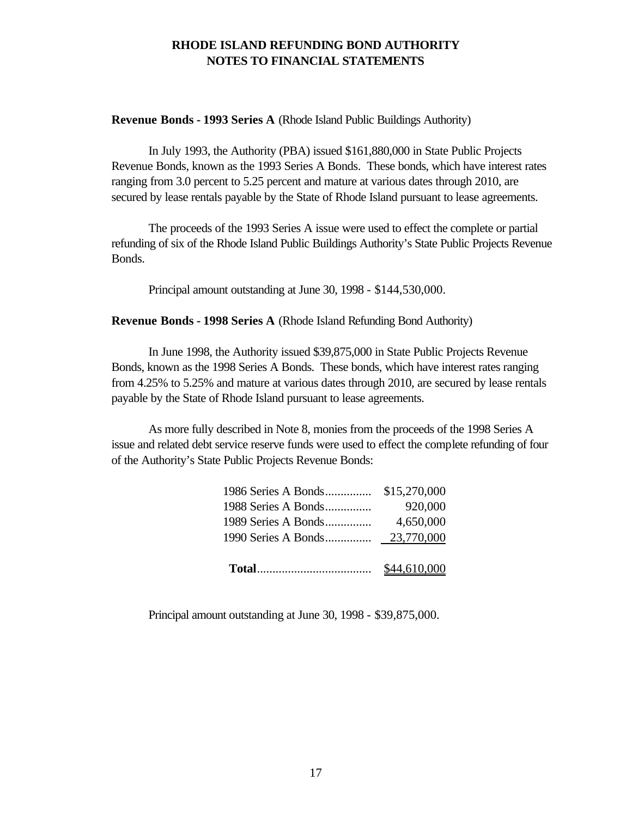**Revenue Bonds - 1993 Series A** (Rhode Island Public Buildings Authority)

In July 1993, the Authority (PBA) issued \$161,880,000 in State Public Projects Revenue Bonds, known as the 1993 Series A Bonds. These bonds, which have interest rates ranging from 3.0 percent to 5.25 percent and mature at various dates through 2010, are secured by lease rentals payable by the State of Rhode Island pursuant to lease agreements.

The proceeds of the 1993 Series A issue were used to effect the complete or partial refunding of six of the Rhode Island Public Buildings Authority's State Public Projects Revenue Bonds.

Principal amount outstanding at June 30, 1998 - \$144,530,000.

**Revenue Bonds - 1998 Series A** (Rhode Island Refunding Bond Authority)

In June 1998, the Authority issued \$39,875,000 in State Public Projects Revenue Bonds, known as the 1998 Series A Bonds. These bonds, which have interest rates ranging from 4.25% to 5.25% and mature at various dates through 2010, are secured by lease rentals payable by the State of Rhode Island pursuant to lease agreements.

As more fully described in Note 8, monies from the proceeds of the 1998 Series A issue and related debt service reserve funds were used to effect the complete refunding of four of the Authority's State Public Projects Revenue Bonds:

| 1989 Series A Bonds | 4,650,000 |
|---------------------|-----------|
| 1988 Series A Bonds | 920,000   |
|                     |           |

Principal amount outstanding at June 30, 1998 - \$39,875,000.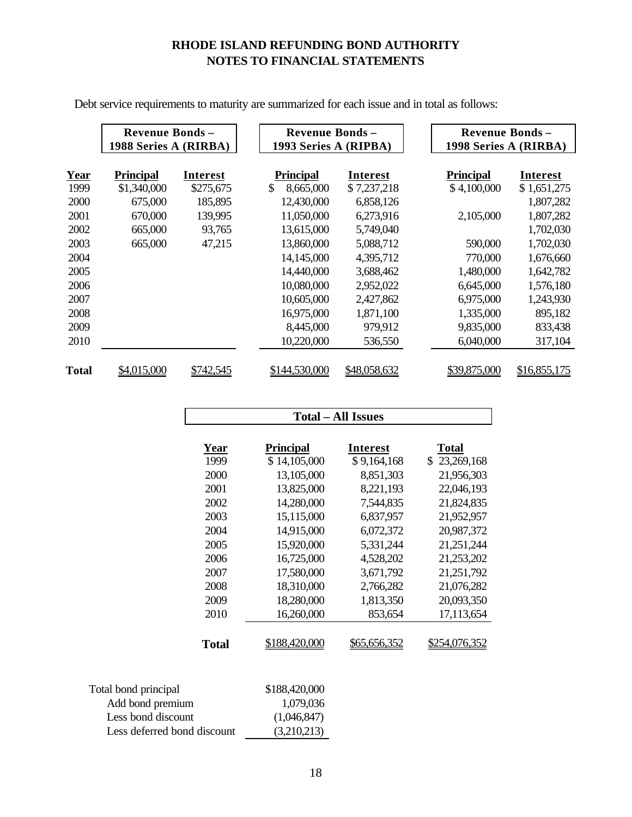|                       | <b>Revenue Bonds-</b> |                 | <b>Revenue Bonds-</b> |                 | <b>Revenue Bonds -</b> |              |  |
|-----------------------|-----------------------|-----------------|-----------------------|-----------------|------------------------|--------------|--|
| 1988 Series A (RIRBA) |                       |                 | 1993 Series A (RIPBA) |                 | 1998 Series A (RIRBA)  |              |  |
| <b>Year</b>           | <b>Principal</b>      | <b>Interest</b> | <b>Principal</b>      | <b>Interest</b> | <b>Principal</b>       | Interest     |  |
| 1999                  | \$1,340,000           | \$275,675       | \$<br>8,665,000       | \$7,237,218     | \$4,100,000            | \$1,651,275  |  |
| 2000                  | 675,000               | 185,895         | 12,430,000            | 6,858,126       |                        | 1,807,282    |  |
| 2001                  | 670,000               | 139,995         | 11,050,000            | 6,273,916       | 2,105,000              | 1,807,282    |  |
| 2002                  | 665,000               | 93,765          | 13,615,000            | 5,749,040       |                        | 1,702,030    |  |
| 2003                  | 665,000               | 47,215          | 13,860,000            | 5,088,712       | 590,000                | 1,702,030    |  |
| 2004                  |                       |                 | 14,145,000            | 4,395,712       | 770,000                | 1,676,660    |  |
| 2005                  |                       |                 | 14,440,000            | 3,688,462       | 1,480,000              | 1,642,782    |  |
| 2006                  |                       |                 | 10,080,000            | 2,952,022       | 6,645,000              | 1,576,180    |  |
| 2007                  |                       |                 | 10,605,000            | 2,427,862       | 6,975,000              | 1,243,930    |  |
| 2008                  |                       |                 | 16,975,000            | 1,871,100       | 1,335,000              | 895,182      |  |
| 2009                  |                       |                 | 8,445,000             | 979,912         | 9,835,000              | 833,438      |  |
| 2010                  |                       |                 | 10,220,000            | 536,550         | 6,040,000              | 317,104      |  |
|                       |                       |                 |                       |                 |                        |              |  |
| <b>Total</b>          | \$4,015,000           | \$742,545       | \$144,530,000         | \$48,058,632    | \$39,875,000           | \$16,855,175 |  |

Debt service requirements to maturity are summarized for each issue and in total as follows:

|                             | <b>Total – All Issues</b> |                 |                      |  |  |
|-----------------------------|---------------------------|-----------------|----------------------|--|--|
| Year                        | <b>Principal</b>          | <b>Interest</b> | <b>Total</b>         |  |  |
| 1999                        | \$14,105,000              | \$9,164,168     | \$23,269,168         |  |  |
| 2000                        | 13,105,000                | 8,851,303       | 21,956,303           |  |  |
| 2001                        | 13,825,000                | 8,221,193       | 22,046,193           |  |  |
| 2002                        | 14,280,000                | 7,544,835       | 21,824,835           |  |  |
| 2003                        | 15,115,000                | 6,837,957       | 21,952,957           |  |  |
| 2004                        | 14,915,000                | 6,072,372       | 20,987,372           |  |  |
| 2005                        | 15,920,000                | 5,331,244       | 21,251,244           |  |  |
| 2006                        | 16,725,000                | 4,528,202       | 21,253,202           |  |  |
| 2007                        | 17,580,000                | 3,671,792       | 21,251,792           |  |  |
| 2008                        | 18,310,000                | 2,766,282       | 21,076,282           |  |  |
| 2009                        | 18,280,000                | 1,813,350       | 20,093,350           |  |  |
| 2010                        | 16,260,000                | 853,654         | 17,113,654           |  |  |
| <b>Total</b>                | \$188,420,000             | \$65,656,352    | <u>\$254,076,352</u> |  |  |
| Total bond principal        | \$188,420,000             |                 |                      |  |  |
| Add bond premium            | 1,079,036                 |                 |                      |  |  |
| Less bond discount          | (1,046,847)               |                 |                      |  |  |
| Less deferred bond discount | (3,210,213)               |                 |                      |  |  |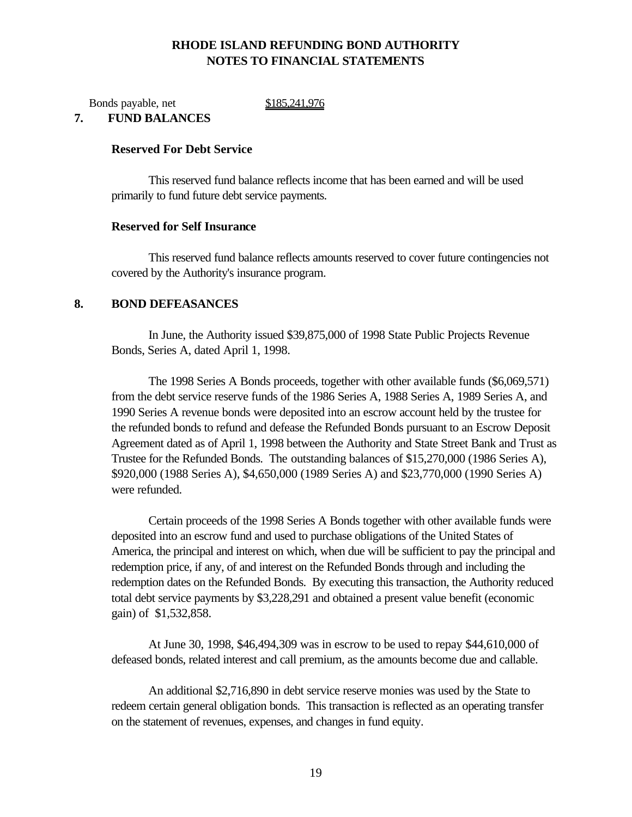Bonds payable, net \$185,241,976

## **7. FUND BALANCES**

#### **Reserved For Debt Service**

This reserved fund balance reflects income that has been earned and will be used primarily to fund future debt service payments.

#### **Reserved for Self Insurance**

This reserved fund balance reflects amounts reserved to cover future contingencies not covered by the Authority's insurance program.

## **8. BOND DEFEASANCES**

In June, the Authority issued \$39,875,000 of 1998 State Public Projects Revenue Bonds, Series A, dated April 1, 1998.

The 1998 Series A Bonds proceeds, together with other available funds (\$6,069,571) from the debt service reserve funds of the 1986 Series A, 1988 Series A, 1989 Series A, and 1990 Series A revenue bonds were deposited into an escrow account held by the trustee for the refunded bonds to refund and defease the Refunded Bonds pursuant to an Escrow Deposit Agreement dated as of April 1, 1998 between the Authority and State Street Bank and Trust as Trustee for the Refunded Bonds. The outstanding balances of \$15,270,000 (1986 Series A), \$920,000 (1988 Series A), \$4,650,000 (1989 Series A) and \$23,770,000 (1990 Series A) were refunded.

Certain proceeds of the 1998 Series A Bonds together with other available funds were deposited into an escrow fund and used to purchase obligations of the United States of America, the principal and interest on which, when due will be sufficient to pay the principal and redemption price, if any, of and interest on the Refunded Bonds through and including the redemption dates on the Refunded Bonds. By executing this transaction, the Authority reduced total debt service payments by \$3,228,291 and obtained a present value benefit (economic gain) of \$1,532,858.

At June 30, 1998, \$46,494,309 was in escrow to be used to repay \$44,610,000 of defeased bonds, related interest and call premium, as the amounts become due and callable.

An additional \$2,716,890 in debt service reserve monies was used by the State to redeem certain general obligation bonds. This transaction is reflected as an operating transfer on the statement of revenues, expenses, and changes in fund equity.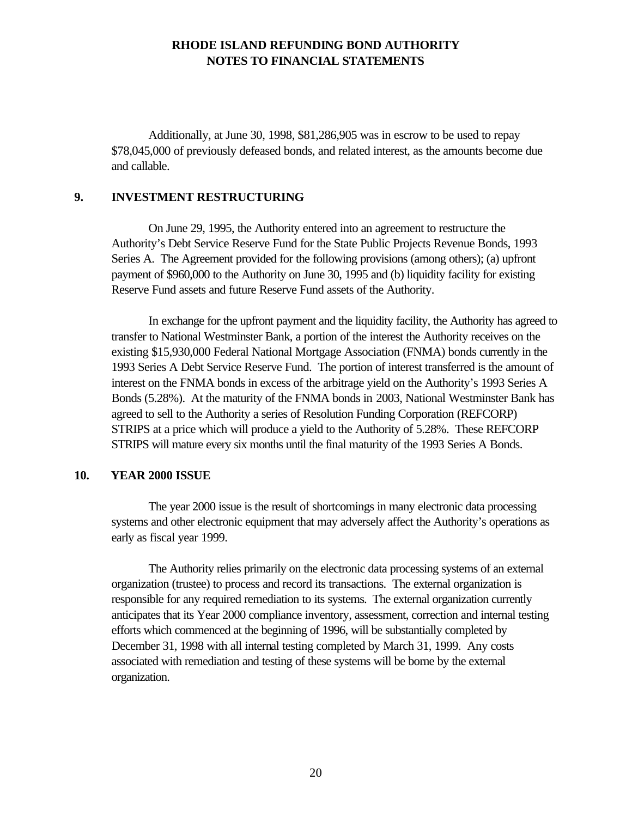Additionally, at June 30, 1998, \$81,286,905 was in escrow to be used to repay \$78,045,000 of previously defeased bonds, and related interest, as the amounts become due and callable.

## **9. INVESTMENT RESTRUCTURING**

On June 29, 1995, the Authority entered into an agreement to restructure the Authority's Debt Service Reserve Fund for the State Public Projects Revenue Bonds, 1993 Series A. The Agreement provided for the following provisions (among others); (a) upfront payment of \$960,000 to the Authority on June 30, 1995 and (b) liquidity facility for existing Reserve Fund assets and future Reserve Fund assets of the Authority.

In exchange for the upfront payment and the liquidity facility, the Authority has agreed to transfer to National Westminster Bank, a portion of the interest the Authority receives on the existing \$15,930,000 Federal National Mortgage Association (FNMA) bonds currently in the 1993 Series A Debt Service Reserve Fund. The portion of interest transferred is the amount of interest on the FNMA bonds in excess of the arbitrage yield on the Authority's 1993 Series A Bonds (5.28%). At the maturity of the FNMA bonds in 2003, National Westminster Bank has agreed to sell to the Authority a series of Resolution Funding Corporation (REFCORP) STRIPS at a price which will produce a yield to the Authority of 5.28%. These REFCORP STRIPS will mature every six months until the final maturity of the 1993 Series A Bonds.

## **10. YEAR 2000 ISSUE**

The year 2000 issue is the result of shortcomings in many electronic data processing systems and other electronic equipment that may adversely affect the Authority's operations as early as fiscal year 1999.

The Authority relies primarily on the electronic data processing systems of an external organization (trustee) to process and record its transactions. The external organization is responsible for any required remediation to its systems. The external organization currently anticipates that its Year 2000 compliance inventory, assessment, correction and internal testing efforts which commenced at the beginning of 1996, will be substantially completed by December 31, 1998 with all internal testing completed by March 31, 1999. Any costs associated with remediation and testing of these systems will be borne by the external organization.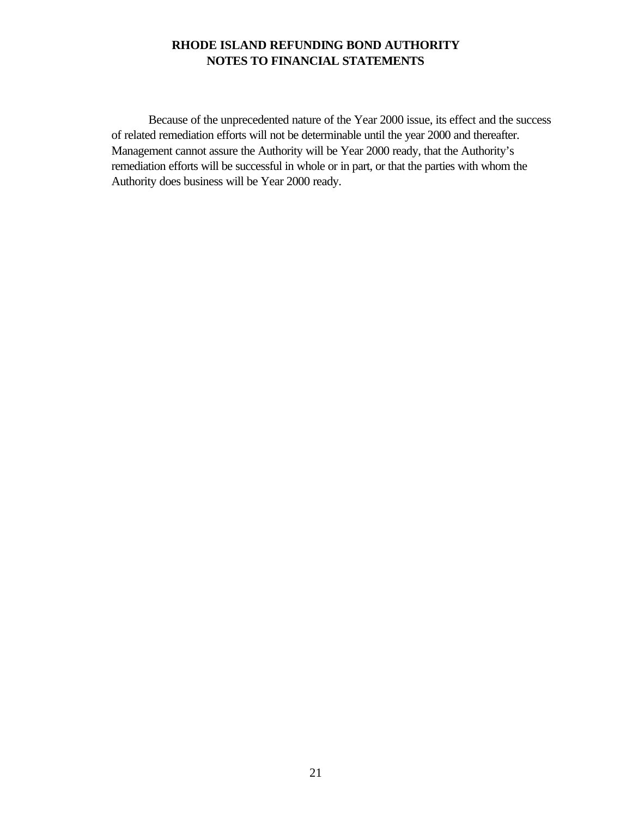Because of the unprecedented nature of the Year 2000 issue, its effect and the success of related remediation efforts will not be determinable until the year 2000 and thereafter. Management cannot assure the Authority will be Year 2000 ready, that the Authority's remediation efforts will be successful in whole or in part, or that the parties with whom the Authority does business will be Year 2000 ready.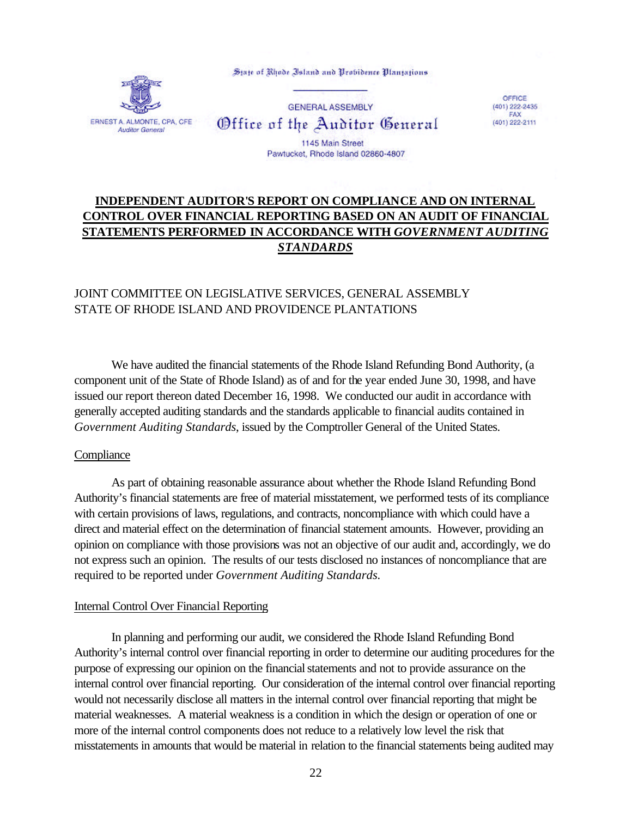



**GENERAL ASSEMBLY** Office of the Auditor General

OFFICE  $(401)$  222-2435 FAX (401) 222-2111

1145 Main Street Pawtucket, Rhode Island 02860-4807

# **INDEPENDENT AUDITOR'S REPORT ON COMPLIANCE AND ON INTERNAL CONTROL OVER FINANCIAL REPORTING BASED ON AN AUDIT OF FINANCIAL STATEMENTS PERFORMED IN ACCORDANCE WITH** *GOVERNMENT AUDITING STANDARDS*

# JOINT COMMITTEE ON LEGISLATIVE SERVICES, GENERAL ASSEMBLY STATE OF RHODE ISLAND AND PROVIDENCE PLANTATIONS

We have audited the financial statements of the Rhode Island Refunding Bond Authority, (a component unit of the State of Rhode Island) as of and for the year ended June 30, 1998, and have issued our report thereon dated December 16, 1998. We conducted our audit in accordance with generally accepted auditing standards and the standards applicable to financial audits contained in *Government Auditing Standards*, issued by the Comptroller General of the United States.

## **Compliance**

As part of obtaining reasonable assurance about whether the Rhode Island Refunding Bond Authority's financial statements are free of material misstatement, we performed tests of its compliance with certain provisions of laws, regulations, and contracts, noncompliance with which could have a direct and material effect on the determination of financial statement amounts. However, providing an opinion on compliance with those provisions was not an objective of our audit and, accordingly, we do not express such an opinion. The results of our tests disclosed no instances of noncompliance that are required to be reported under *Government Auditing Standards.*

## Internal Control Over Financial Reporting

In planning and performing our audit, we considered the Rhode Island Refunding Bond Authority's internal control over financial reporting in order to determine our auditing procedures for the purpose of expressing our opinion on the financial statements and not to provide assurance on the internal control over financial reporting. Our consideration of the internal control over financial reporting would not necessarily disclose all matters in the internal control over financial reporting that might be material weaknesses. A material weakness is a condition in which the design or operation of one or more of the internal control components does not reduce to a relatively low level the risk that misstatements in amounts that would be material in relation to the financial statements being audited may